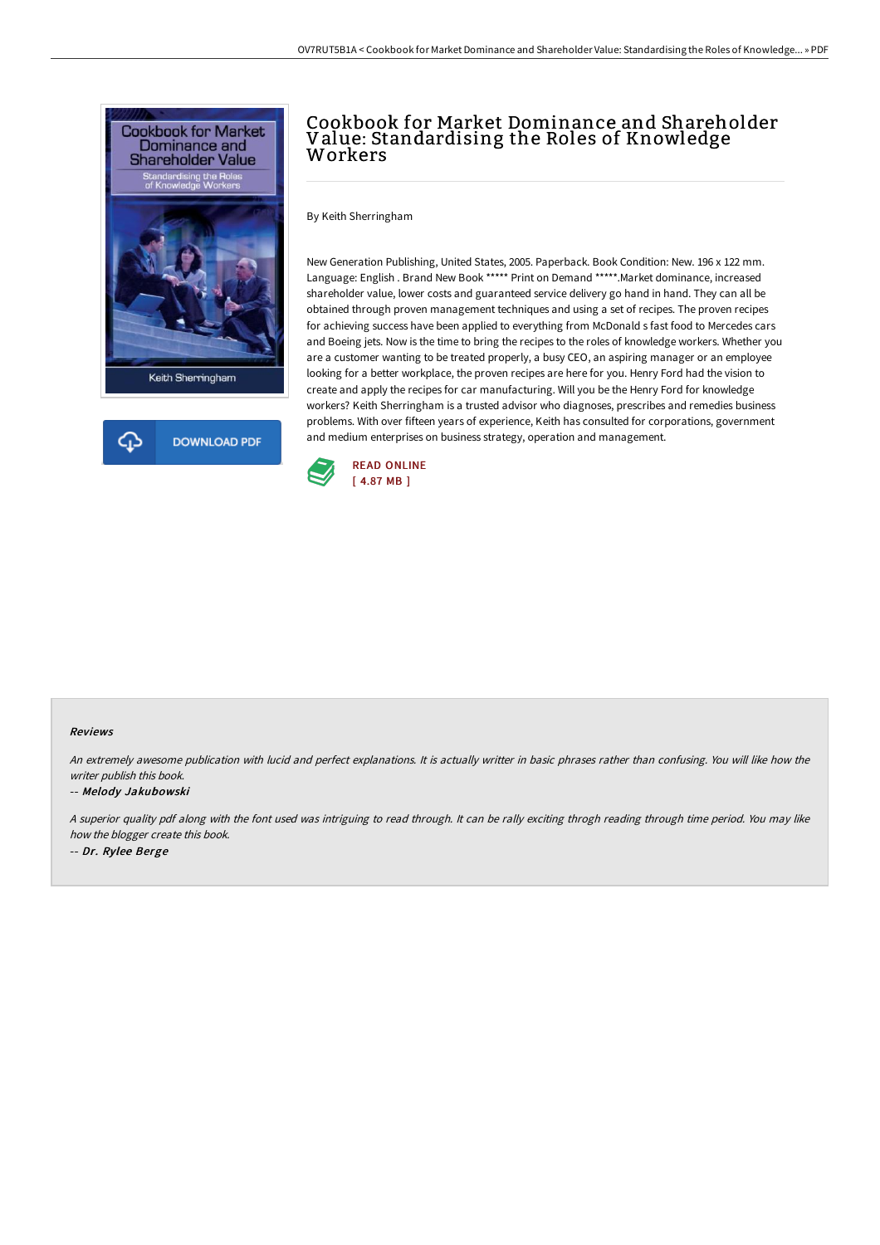



# Cookbook for Market Dominance and Shareholder Value: Standardising the Roles of Knowledge Workers

By Keith Sherringham

New Generation Publishing, United States, 2005. Paperback. Book Condition: New. 196 x 122 mm. Language: English . Brand New Book \*\*\*\*\* Print on Demand \*\*\*\*\*.Market dominance, increased shareholder value, lower costs and guaranteed service delivery go hand in hand. They can all be obtained through proven management techniques and using a set of recipes. The proven recipes for achieving success have been applied to everything from McDonald s fast food to Mercedes cars and Boeing jets. Now is the time to bring the recipes to the roles of knowledge workers. Whether you are a customer wanting to be treated properly, a busy CEO, an aspiring manager or an employee looking for a better workplace, the proven recipes are here for you. Henry Ford had the vision to create and apply the recipes for car manufacturing. Will you be the Henry Ford for knowledge workers? Keith Sherringham is a trusted advisor who diagnoses, prescribes and remedies business problems. With over fifteen years of experience, Keith has consulted for corporations, government and medium enterprises on business strategy, operation and management.



#### Reviews

An extremely awesome publication with lucid and perfect explanations. It is actually writter in basic phrases rather than confusing. You will like how the writer publish this book.

#### -- Melody Jakubowski

<sup>A</sup> superior quality pdf along with the font used was intriguing to read through. It can be rally exciting throgh reading through time period. You may like how the blogger create this book. -- Dr. Rylee Berge